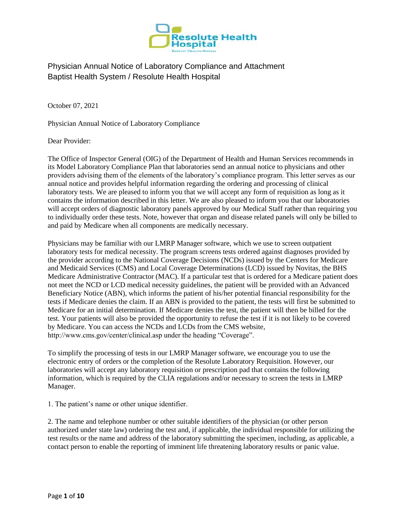

October 07, 2021

Physician Annual Notice of Laboratory Compliance

Dear Provider:

The Office of Inspector General (OIG) of the Department of Health and Human Services recommends in its Model Laboratory Compliance Plan that laboratories send an annual notice to physicians and other providers advising them of the elements of the laboratory's compliance program. This letter serves as our annual notice and provides helpful information regarding the ordering and processing of clinical laboratory tests. We are pleased to inform you that we will accept any form of requisition as long as it contains the information described in this letter. We are also pleased to inform you that our laboratories will accept orders of diagnostic laboratory panels approved by our Medical Staff rather than requiring you to individually order these tests. Note, however that organ and disease related panels will only be billed to and paid by Medicare when all components are medically necessary.

Physicians may be familiar with our LMRP Manager software, which we use to screen outpatient laboratory tests for medical necessity. The program screens tests ordered against diagnoses provided by the provider according to the National Coverage Decisions (NCDs) issued by the Centers for Medicare and Medicaid Services (CMS) and Local Coverage Determinations (LCD) issued by Novitas, the BHS Medicare Administrative Contractor (MAC). If a particular test that is ordered for a Medicare patient does not meet the NCD or LCD medical necessity guidelines, the patient will be provided with an Advanced Beneficiary Notice (ABN), which informs the patient of his/her potential financial responsibility for the tests if Medicare denies the claim. If an ABN is provided to the patient, the tests will first be submitted to Medicare for an initial determination. If Medicare denies the test, the patient will then be billed for the test. Your patients will also be provided the opportunity to refuse the test if it is not likely to be covered by Medicare. You can access the NCDs and LCDs from the CMS website, http://www.cms.gov/center/clinical.asp under the heading "Coverage".

To simplify the processing of tests in our LMRP Manager software, we encourage you to use the electronic entry of orders or the completion of the Resolute Laboratory Requisition. However, our laboratories will accept any laboratory requisition or prescription pad that contains the following information, which is required by the CLIA regulations and/or necessary to screen the tests in LMRP Manager.

1. The patient's name or other unique identifier.

2. The name and telephone number or other suitable identifiers of the physician (or other person authorized under state law) ordering the test and, if applicable, the individual responsible for utilizing the test results or the name and address of the laboratory submitting the specimen, including, as applicable, a contact person to enable the reporting of imminent life threatening laboratory results or panic value.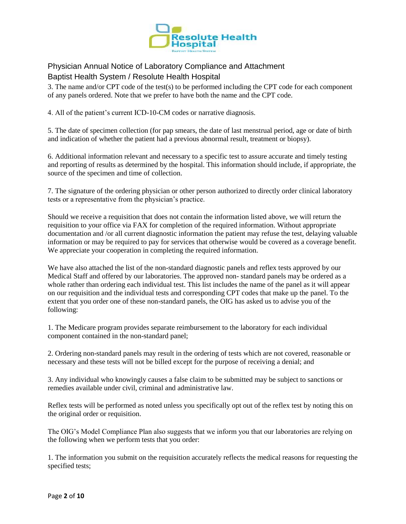

3. The name and/or CPT code of the test(s) to be performed including the CPT code for each component of any panels ordered. Note that we prefer to have both the name and the CPT code.

4. All of the patient's current ICD-10-CM codes or narrative diagnosis.

5. The date of specimen collection (for pap smears, the date of last menstrual period, age or date of birth and indication of whether the patient had a previous abnormal result, treatment or biopsy).

6. Additional information relevant and necessary to a specific test to assure accurate and timely testing and reporting of results as determined by the hospital. This information should include, if appropriate, the source of the specimen and time of collection.

7. The signature of the ordering physician or other person authorized to directly order clinical laboratory tests or a representative from the physician's practice.

Should we receive a requisition that does not contain the information listed above, we will return the requisition to your office via FAX for completion of the required information. Without appropriate documentation and /or all current diagnostic information the patient may refuse the test, delaying valuable information or may be required to pay for services that otherwise would be covered as a coverage benefit. We appreciate your cooperation in completing the required information.

We have also attached the list of the non-standard diagnostic panels and reflex tests approved by our Medical Staff and offered by our laboratories. The approved non- standard panels may be ordered as a whole rather than ordering each individual test. This list includes the name of the panel as it will appear on our requisition and the individual tests and corresponding CPT codes that make up the panel. To the extent that you order one of these non-standard panels, the OIG has asked us to advise you of the following:

1. The Medicare program provides separate reimbursement to the laboratory for each individual component contained in the non-standard panel;

2. Ordering non-standard panels may result in the ordering of tests which are not covered, reasonable or necessary and these tests will not be billed except for the purpose of receiving a denial; and

3. Any individual who knowingly causes a false claim to be submitted may be subject to sanctions or remedies available under civil, criminal and administrative law.

Reflex tests will be performed as noted unless you specifically opt out of the reflex test by noting this on the original order or requisition.

The OIG's Model Compliance Plan also suggests that we inform you that our laboratories are relying on the following when we perform tests that you order:

1. The information you submit on the requisition accurately reflects the medical reasons for requesting the specified tests;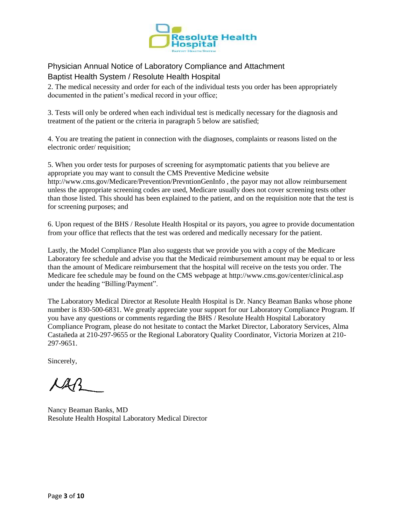

2. The medical necessity and order for each of the individual tests you order has been appropriately documented in the patient's medical record in your office;

3. Tests will only be ordered when each individual test is medically necessary for the diagnosis and treatment of the patient or the criteria in paragraph 5 below are satisfied;

4. You are treating the patient in connection with the diagnoses, complaints or reasons listed on the electronic order/ requisition;

5. When you order tests for purposes of screening for asymptomatic patients that you believe are appropriate you may want to consult the CMS Preventive Medicine website http://www.cms.gov/Medicare/Prevention/PrevntionGenInfo , the payor may not allow reimbursement unless the appropriate screening codes are used, Medicare usually does not cover screening tests other than those listed. This should has been explained to the patient, and on the requisition note that the test is for screening purposes; and

6. Upon request of the BHS / Resolute Health Hospital or its payors, you agree to provide documentation from your office that reflects that the test was ordered and medically necessary for the patient.

Lastly, the Model Compliance Plan also suggests that we provide you with a copy of the Medicare Laboratory fee schedule and advise you that the Medicaid reimbursement amount may be equal to or less than the amount of Medicare reimbursement that the hospital will receive on the tests you order. The Medicare fee schedule may be found on the CMS webpage at http://www.cms.gov/center/clinical.asp under the heading "Billing/Payment".

The Laboratory Medical Director at Resolute Health Hospital is Dr. Nancy Beaman Banks whose phone number is 830-500-6831. We greatly appreciate your support for our Laboratory Compliance Program. If you have any questions or comments regarding the BHS / Resolute Health Hospital Laboratory Compliance Program, please do not hesitate to contact the Market Director, Laboratory Services, Alma Castañeda at 210-297-9655 or the Regional Laboratory Quality Coordinator, Victoria Morizen at 210- 297-9651.

Sincerely,

KAR

Nancy Beaman Banks, MD Resolute Health Hospital Laboratory Medical Director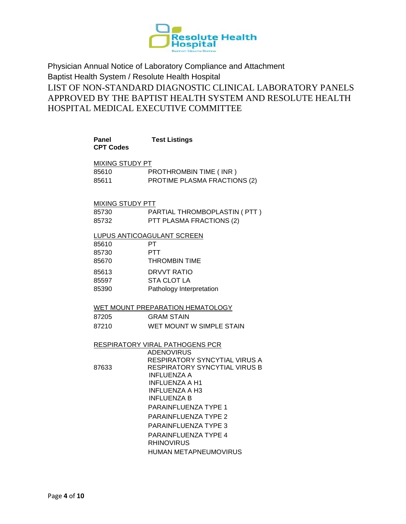

Physician Annual Notice of Laboratory Compliance and Attachment Baptist Health System / Resolute Health Hospital LIST OF NON-STANDARD DIAGNOSTIC CLINICAL LABORATORY PANELS APPROVED BY THE BAPTIST HEALTH SYSTEM AND RESOLUTE HEALTH HOSPITAL MEDICAL EXECUTIVE COMMITTEE

| <b>Panel</b><br><b>CPT Codes</b> | <b>Test Listings</b>                                           |
|----------------------------------|----------------------------------------------------------------|
| MIXING STUDY PT                  |                                                                |
| 85610                            | PROTHROMBIN TIME (INR)                                         |
| 85611                            | PROTIME PLASMA FRACTIONS (2)                                   |
| <b>MIXING STUDY PTT</b>          |                                                                |
| 85730                            | PARTIAL THROMBOPLASTIN ( PTT )                                 |
| 85732                            | PTT PLASMA FRACTIONS (2)                                       |
|                                  | LUPUS ANTICOAGULANT SCREEN                                     |
| 85610                            | PT.                                                            |
| 85730                            | <b>PTT</b>                                                     |
| 85670                            | <b>THROMBIN TIME</b>                                           |
| 85613                            | DRVVT RATIO                                                    |
| 85597                            | <b>STA CLOT LA</b>                                             |
| 85390                            | Pathology Interpretation                                       |
|                                  | WET MOUNT PREPARATION HEMATOLOGY                               |
| 87205                            | <b>GRAM STAIN</b>                                              |
| 87210                            | WET MOUNT W SIMPLE STAIN                                       |
|                                  | RESPIRATORY VIRAL PATHOGENS PCR                                |
|                                  | <b>ADENOVIRUS</b>                                              |
|                                  | RESPIRATORY SYNCYTIAL VIRUS A<br>RESPIRATORY SYNCYTIAL VIRUS B |
| 87633                            | <b>INFLUENZA A</b>                                             |
|                                  | <b>INFLUENZA A H1</b>                                          |
|                                  | <b>INFLUENZA A H3</b>                                          |
|                                  | <b>INFLUENZA B</b>                                             |
|                                  | <b>PARAINFLUENZA TYPE 1</b>                                    |
|                                  | <b>PARAINFLUENZA TYPE 2</b>                                    |
|                                  | PARAINFLUENZA TYPE 3                                           |
|                                  | <b>PARAINFLUENZA TYPE 4</b>                                    |
|                                  | <b>RHINOVIRUS</b>                                              |

HUMAN METAPNEUMOVIRUS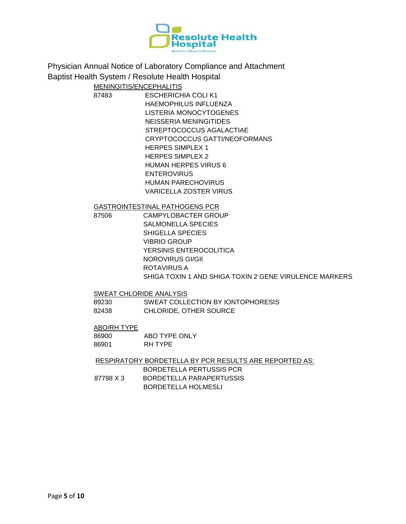

### MENINGITIS/ENCEPHALITIS

87483 ESCHERICHIA COLI K1 HAEMOPHILUS INFLUENZA LISTERIA MONOCYTOGENES NEISSERIA MENINGITIDES STREPTOCOCCUS AGALACTIAE CRYPTOCOCCUS GATTI/NEOFORMANS HERPES SIMPLEX 1 HERPES SIMPLEX 2 HUMAN HERPES VIRUS 6 ENTEROVIRUS HUMAN PARECHOVIRUS VARICELLA ZOSTER VIRUS

GASTROINTESTINAL PATHOGENS PCR

87506 CAMPYLOBACTER GROUP SALMONELLA SPECIES SHIGELLA SPECIES VIBRIO GROUP YERSINIS ENTEROCOLITICA NOROVIRUS GI/GII ROTAVIRUS A SHIGA TOXIN 1 AND SHIGA TOXIN 2 GENE VIRULENCE MARKERS

SWEAT CHLORIDE ANALYSIS

89230 SWEAT COLLECTION BY IONTOPHORESIS 82438 CHLORIDE, OTHER SOURCE

#### ABO/RH TYPE

86900 ABO TYPE ONLY 86901 RH TYPE

RESPIRATORY BORDETELLA BY PCR RESULTS ARE REPORTED AS:

BORDETELLA PERTUSSIS PCR 87798 X 3 BORDETELLA PARAPERTUSSIS BORDETELLA HOLMESLI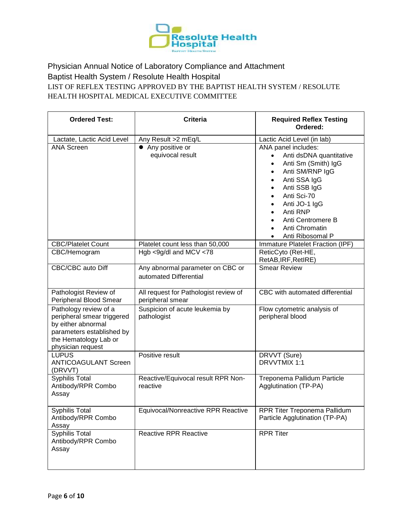

Physician Annual Notice of Laboratory Compliance and Attachment Baptist Health System / Resolute Health Hospital LIST OF REFLEX TESTING APPROVED BY THE BAPTIST HEALTH SYSTEM / RESOLUTE HEALTH HOSPITAL MEDICAL EXECUTIVE COMMITTEE

| <b>Ordered Test:</b>                                                                                                                                 | <b>Criteria</b>                                            | <b>Required Reflex Testing</b><br>Ordered:                                                                                                                                                                                                                                                       |
|------------------------------------------------------------------------------------------------------------------------------------------------------|------------------------------------------------------------|--------------------------------------------------------------------------------------------------------------------------------------------------------------------------------------------------------------------------------------------------------------------------------------------------|
| Lactate, Lactic Acid Level                                                                                                                           | Any Result >2 mEq/L                                        | Lactic Acid Level (in lab)                                                                                                                                                                                                                                                                       |
| <b>ANA Screen</b>                                                                                                                                    | • Any positive or<br>equivocal result                      | ANA panel includes:<br>Anti dsDNA quantitative<br>Anti Sm (Smith) IgG<br>$\bullet$<br>Anti SM/RNP IgG<br>$\bullet$<br>Anti SSA IgG<br>$\bullet$<br>Anti SSB IgG<br>$\bullet$<br>Anti Sci-70<br>$\bullet$<br>Anti JO-1 IgG<br>Anti RNP<br>Anti Centromere B<br>Anti Chromatin<br>Anti Ribosomal P |
| <b>CBC/Platelet Count</b>                                                                                                                            | Platelet count less than 50,000                            | Immature Platelet Fraction (IPF)                                                                                                                                                                                                                                                                 |
| CBC/Hemogram                                                                                                                                         | Hgb <9g/dl and MCV <78                                     | ReticCyto (Ret-HE,<br>RetAB, IRF, RetIRE)                                                                                                                                                                                                                                                        |
| CBC/CBC auto Diff                                                                                                                                    | Any abnormal parameter on CBC or<br>automated Differential | <b>Smear Review</b>                                                                                                                                                                                                                                                                              |
| Pathologist Review of<br>Peripheral Blood Smear                                                                                                      | All request for Pathologist review of<br>peripheral smear  | CBC with automated differential                                                                                                                                                                                                                                                                  |
| Pathology review of a<br>peripheral smear triggered<br>by either abnormal<br>parameters established by<br>the Hematology Lab or<br>physician request | Suspicion of acute leukemia by<br>pathologist              | Flow cytometric analysis of<br>peripheral blood                                                                                                                                                                                                                                                  |
| <b>LUPUS</b><br><b>ANTICOAGULANT Screen</b><br>(DRVVT)                                                                                               | Positive result                                            | DRVVT (Sure)<br>DRVVTMIX 1:1                                                                                                                                                                                                                                                                     |
| <b>Syphilis Total</b><br>Antibody/RPR Combo<br>Assay                                                                                                 | Reactive/Equivocal result RPR Non-<br>reactive             | Treponema Pallidum Particle<br>Agglutination (TP-PA)                                                                                                                                                                                                                                             |
| Syphilis Total<br>Antibody/RPR Combo<br>Assay                                                                                                        | Equivocal/Nonreactive RPR Reactive                         | RPR Titer Treponema Pallidum<br>Particle Agglutination (TP-PA)                                                                                                                                                                                                                                   |
| <b>Syphilis Total</b><br>Antibody/RPR Combo<br>Assay                                                                                                 | <b>Reactive RPR Reactive</b>                               | <b>RPR Titer</b>                                                                                                                                                                                                                                                                                 |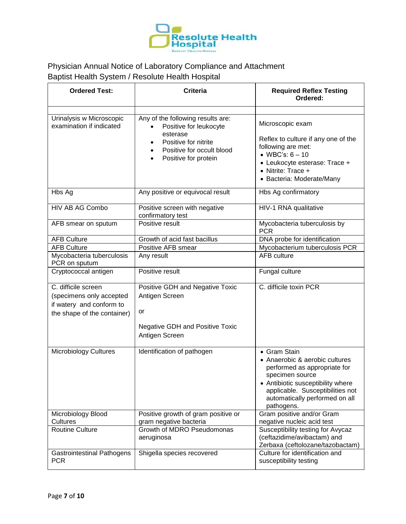

| <b>Ordered Test:</b>                                                                                       | <b>Criteria</b>                                                                                                                                      | <b>Required Reflex Testing</b><br>Ordered:                                                                                                                                                                                 |
|------------------------------------------------------------------------------------------------------------|------------------------------------------------------------------------------------------------------------------------------------------------------|----------------------------------------------------------------------------------------------------------------------------------------------------------------------------------------------------------------------------|
| Urinalysis w Microscopic<br>examination if indicated                                                       | Any of the following results are:<br>Positive for leukocyte<br>esterase<br>Positive for nitrite<br>Positive for occult blood<br>Positive for protein | Microscopic exam<br>Reflex to culture if any one of the<br>following are met:<br>• WBC's: $6 - 10$<br>• Leukocyte esterase: Trace +<br>• Nitrite: Trace +<br>• Bacteria: Moderate/Many                                     |
| Hbs Ag                                                                                                     | Any positive or equivocal result                                                                                                                     | Hbs Ag confirmatory                                                                                                                                                                                                        |
| HIV AB AG Combo                                                                                            | Positive screen with negative<br>confirmatory test                                                                                                   | HIV-1 RNA qualitative                                                                                                                                                                                                      |
| AFB smear on sputum                                                                                        | Positive result                                                                                                                                      | Mycobacteria tuberculosis by<br><b>PCR</b>                                                                                                                                                                                 |
| <b>AFB Culture</b>                                                                                         | Growth of acid fast bacillus                                                                                                                         | DNA probe for identification                                                                                                                                                                                               |
| <b>AFB Culture</b>                                                                                         | Positive AFB smear                                                                                                                                   | Mycobacterium tuberculosis PCR                                                                                                                                                                                             |
| Mycobacteria tuberculosis<br>PCR on sputum                                                                 | Any result                                                                                                                                           | <b>AFB</b> culture                                                                                                                                                                                                         |
| Cryptococcal antigen                                                                                       | Positive result                                                                                                                                      | Fungal culture                                                                                                                                                                                                             |
| C. difficile screen<br>(specimens only accepted<br>if watery and conform to<br>the shape of the container) | Positive GDH and Negative Toxic<br>Antigen Screen<br>or<br><b>Negative GDH and Positive Toxic</b><br>Antigen Screen                                  | C. difficile toxin PCR                                                                                                                                                                                                     |
| <b>Microbiology Cultures</b>                                                                               | Identification of pathogen                                                                                                                           | • Gram Stain<br>• Anaerobic & aerobic cultures<br>performed as appropriate for<br>specimen source<br>• Antibiotic susceptibility where<br>applicable. Susceptibilities not<br>automatically performed on all<br>pathogens. |
| Microbiology Blood<br>Cultures                                                                             | Positive growth of gram positive or<br>gram negative bacteria                                                                                        | Gram positive and/or Gram<br>negative nucleic acid test                                                                                                                                                                    |
| <b>Routine Culture</b>                                                                                     | Growth of MDRO Pseudomonas<br>aeruginosa                                                                                                             | Susceptibility testing for Avycaz<br>(ceftazidime/avibactam) and<br>Zerbaxa (ceftolozane/tazobactam)                                                                                                                       |
| <b>Gastrointestinal Pathogens</b><br><b>PCR</b>                                                            | Shigella species recovered                                                                                                                           | Culture for identification and<br>susceptibility testing                                                                                                                                                                   |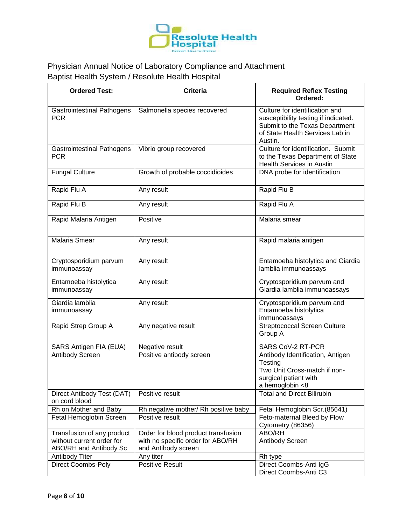

| <b>Ordered Test:</b>                                                              | <b>Criteria</b>                                                                                 | <b>Required Reflex Testing</b><br>Ordered:                                                                                                             |
|-----------------------------------------------------------------------------------|-------------------------------------------------------------------------------------------------|--------------------------------------------------------------------------------------------------------------------------------------------------------|
| <b>Gastrointestinal Pathogens</b><br><b>PCR</b>                                   | Salmonella species recovered                                                                    | Culture for identification and<br>susceptibility testing if indicated.<br>Submit to the Texas Department<br>of State Health Services Lab in<br>Austin. |
| <b>Gastrointestinal Pathogens</b><br><b>PCR</b>                                   | Vibrio group recovered                                                                          | Culture for identification. Submit<br>to the Texas Department of State<br><b>Health Services in Austin</b>                                             |
| <b>Fungal Culture</b>                                                             | Growth of probable coccidioides                                                                 | DNA probe for identification                                                                                                                           |
| Rapid Flu A                                                                       | Any result                                                                                      | Rapid Flu B                                                                                                                                            |
| Rapid Flu B                                                                       | Any result                                                                                      | Rapid Flu A                                                                                                                                            |
| Rapid Malaria Antigen                                                             | Positive                                                                                        | Malaria smear                                                                                                                                          |
| Malaria Smear                                                                     | Any result                                                                                      | Rapid malaria antigen                                                                                                                                  |
| Cryptosporidium parvum<br>immunoassay                                             | Any result                                                                                      | Entamoeba histolytica and Giardia<br>lamblia immunoassays                                                                                              |
| Entamoeba histolytica<br>immunoassay                                              | Any result                                                                                      | Cryptosporidium parvum and<br>Giardia lamblia immunoassays                                                                                             |
| Giardia lamblia<br>immunoassay                                                    | Any result                                                                                      | Cryptosporidium parvum and<br>Entamoeba histolytica<br>immunoassays                                                                                    |
| Rapid Strep Group A                                                               | Any negative result                                                                             | <b>Streptococcal Screen Culture</b><br>Group A                                                                                                         |
| SARS Antigen FIA (EUA)                                                            | Negative result                                                                                 | SARS CoV-2 RT-PCR                                                                                                                                      |
| Antibody Screen                                                                   | Positive antibody screen                                                                        | Antibody Identification, Antigen<br>Testing<br>Two Unit Cross-match if non-<br>surgical patient with<br>a hemoglobin <8                                |
| Direct Antibody Test (DAT)<br>on cord blood                                       | Positive result                                                                                 | <b>Total and Direct Bilirubin</b>                                                                                                                      |
| Rh on Mother and Baby                                                             | Rh negative mother/ Rh positive baby                                                            | Fetal Hemoglobin Scr.(85641)                                                                                                                           |
| Fetal Hemoglobin Screen                                                           | Positive result                                                                                 | Feto-maternal Bleed by Flow<br>Cytometry (86356)                                                                                                       |
| Transfusion of any product<br>without current order for<br>ABO/RH and Antibody Sc | Order for blood product transfusion<br>with no specific order for ABO/RH<br>and Antibody screen | ABO/RH<br>Antibody Screen                                                                                                                              |
| <b>Antibody Titer</b>                                                             | Any titer                                                                                       | Rh type                                                                                                                                                |
| <b>Direct Coombs-Poly</b>                                                         | <b>Positive Result</b>                                                                          | Direct Coombs-Anti IgG<br>Direct Coombs-Anti C3                                                                                                        |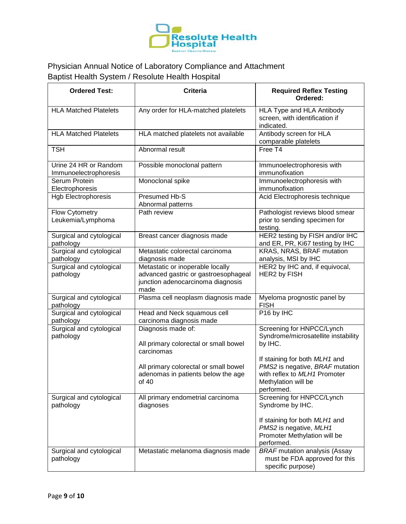

| <b>Ordered Test:</b>                           | <b>Criteria</b>                                                                                                       | <b>Required Reflex Testing</b><br>Ordered:                                                                   |
|------------------------------------------------|-----------------------------------------------------------------------------------------------------------------------|--------------------------------------------------------------------------------------------------------------|
| <b>HLA Matched Platelets</b>                   | Any order for HLA-matched platelets                                                                                   | HLA Type and HLA Antibody<br>screen, with identification if<br>indicated.                                    |
| <b>HLA Matched Platelets</b>                   | HLA matched platelets not available                                                                                   | Antibody screen for HLA<br>comparable platelets                                                              |
| <b>TSH</b>                                     | Abnormal result                                                                                                       | Free T4                                                                                                      |
| Urine 24 HR or Random<br>Immunoelectrophoresis | Possible monoclonal pattern                                                                                           | Immunoelectrophoresis with<br>immunofixation                                                                 |
| Serum Protein<br>Electrophoresis               | Monoclonal spike                                                                                                      | Immunoelectrophoresis with<br>immunofixation                                                                 |
| Hgb Electrophoresis                            | Presumed Hb-S<br>Abnormal patterns                                                                                    | Acid Electrophoresis technique                                                                               |
| Flow Cytometry<br>Leukemia/Lymphoma            | Path review                                                                                                           | Pathologist reviews blood smear<br>prior to sending specimen for<br>testing.                                 |
| Surgical and cytological<br>pathology          | Breast cancer diagnosis made                                                                                          | HER2 testing by FISH and/or IHC<br>and ER, PR, Ki67 testing by IHC                                           |
| Surgical and cytological<br>pathology          | Metastatic colorectal carcinoma<br>diagnosis made                                                                     | KRAS, NRAS, BRAF mutation<br>analysis, MSI by IHC                                                            |
| Surgical and cytological<br>pathology          | Metastatic or inoperable locally<br>advanced gastric or gastroesophageal<br>junction adenocarcinoma diagnosis<br>made | HER2 by IHC and, if equivocal,<br>HER2 by FISH                                                               |
| Surgical and cytological<br>pathology          | Plasma cell neoplasm diagnosis made                                                                                   | Myeloma prognostic panel by<br><b>FISH</b>                                                                   |
| Surgical and cytological<br>pathology          | Head and Neck squamous cell<br>carcinoma diagnosis made                                                               | P <sub>16</sub> by IHC                                                                                       |
| Surgical and cytological<br>pathology          | Diagnosis made of:<br>All primary colorectal or small bowel<br>carcinomas                                             | Screening for HNPCC/Lynch<br>Syndrome/microsatellite instability<br>by IHC.<br>If staining for both MLH1 and |
|                                                | All primary colorectal or small bowel<br>adenomas in patients below the age<br>of 40                                  | PMS2 is negative, BRAF mutation<br>with reflex to MLH1 Promoter<br>Methylation will be<br>performed.         |
| Surgical and cytological<br>pathology          | All primary endometrial carcinoma<br>diagnoses                                                                        | Screening for HNPCC/Lynch<br>Syndrome by IHC.                                                                |
|                                                |                                                                                                                       | If staining for both MLH1 and<br>PMS2 is negative, MLH1<br>Promoter Methylation will be<br>performed.        |
| Surgical and cytological<br>pathology          | Metastatic melanoma diagnosis made                                                                                    | <b>BRAF</b> mutation analysis (Assay<br>must be FDA approved for this<br>specific purpose)                   |